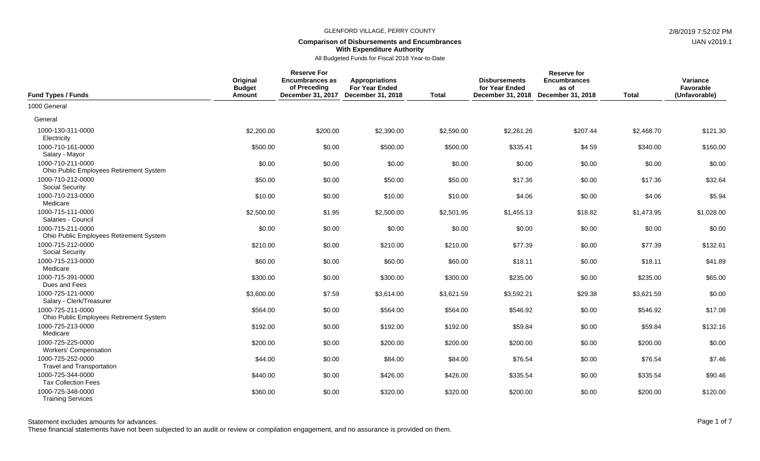## **Comparison of Disbursements and Encumbrances With Expenditure Authority**

All Budgeted Funds for Fiscal 2018 Year-to-Date

| <b>Fund Types / Funds</b>                                    | Original<br><b>Budget</b><br>Amount | <b>Reserve For</b><br><b>Encumbrances as</b><br>of Preceding<br>December 31, 2017 | <b>Appropriations</b><br>For Year Ended<br>December 31, 2018 | <b>Total</b> | <b>Disbursements</b><br>for Year Ended<br>December 31, 2018 | <b>Reserve for</b><br><b>Encumbrances</b><br>as of<br>December 31, 2018 | <b>Total</b> | Variance<br>Favorable<br>(Unfavorable) |
|--------------------------------------------------------------|-------------------------------------|-----------------------------------------------------------------------------------|--------------------------------------------------------------|--------------|-------------------------------------------------------------|-------------------------------------------------------------------------|--------------|----------------------------------------|
| 1000 General                                                 |                                     |                                                                                   |                                                              |              |                                                             |                                                                         |              |                                        |
| General                                                      |                                     |                                                                                   |                                                              |              |                                                             |                                                                         |              |                                        |
| 1000-130-311-0000<br>Electricity                             | \$2,200.00                          | \$200.00                                                                          | \$2,390.00                                                   | \$2,590.00   | \$2,261.26                                                  | \$207.44                                                                | \$2,468.70   | \$121.30                               |
| 1000-710-161-0000<br>Salary - Mayor                          | \$500.00                            | \$0.00                                                                            | \$500.00                                                     | \$500.00     | \$335.41                                                    | \$4.59                                                                  | \$340.00     | \$160.00                               |
| 1000-710-211-0000<br>Ohio Public Employees Retirement System | \$0.00                              | \$0.00                                                                            | \$0.00                                                       | \$0.00       | \$0.00                                                      | \$0.00                                                                  | \$0.00       | \$0.00                                 |
| 1000-710-212-0000<br><b>Social Security</b>                  | \$50.00                             | \$0.00                                                                            | \$50.00                                                      | \$50.00      | \$17.36                                                     | \$0.00                                                                  | \$17.36      | \$32.64                                |
| 1000-710-213-0000<br>Medicare                                | \$10.00                             | \$0.00                                                                            | \$10.00                                                      | \$10.00      | \$4.06                                                      | \$0.00                                                                  | \$4.06       | \$5.94                                 |
| 1000-715-111-0000<br>Salaries - Council                      | \$2,500.00                          | \$1.95                                                                            | \$2,500.00                                                   | \$2,501.95   | \$1,455.13                                                  | \$18.82                                                                 | \$1,473.95   | \$1,028.00                             |
| 1000-715-211-0000<br>Ohio Public Employees Retirement System | \$0.00                              | \$0.00                                                                            | \$0.00                                                       | \$0.00       | \$0.00                                                      | \$0.00                                                                  | \$0.00       | \$0.00                                 |
| 1000-715-212-0000<br><b>Social Security</b>                  | \$210.00                            | \$0.00                                                                            | \$210.00                                                     | \$210.00     | \$77.39                                                     | \$0.00                                                                  | \$77.39      | \$132.61                               |
| 1000-715-213-0000<br>Medicare                                | \$60.00                             | \$0.00                                                                            | \$60.00                                                      | \$60.00      | \$18.11                                                     | \$0.00                                                                  | \$18.11      | \$41.89                                |
| 1000-715-391-0000<br>Dues and Fees                           | \$300.00                            | \$0.00                                                                            | \$300.00                                                     | \$300.00     | \$235.00                                                    | \$0.00                                                                  | \$235.00     | \$65.00                                |
| 1000-725-121-0000<br>Salary - Clerk/Treasurer                | \$3,600.00                          | \$7.59                                                                            | \$3,614.00                                                   | \$3,621.59   | \$3,592.21                                                  | \$29.38                                                                 | \$3,621.59   | \$0.00                                 |
| 1000-725-211-0000<br>Ohio Public Employees Retirement System | \$564.00                            | \$0.00                                                                            | \$564.00                                                     | \$564.00     | \$546.92                                                    | \$0.00                                                                  | \$546.92     | \$17.08                                |
| 1000-725-213-0000<br>Medicare                                | \$192.00                            | \$0.00                                                                            | \$192.00                                                     | \$192.00     | \$59.84                                                     | \$0.00                                                                  | \$59.84      | \$132.16                               |
| 1000-725-225-0000<br><b>Workers' Compensation</b>            | \$200.00                            | \$0.00                                                                            | \$200.00                                                     | \$200.00     | \$200.00                                                    | \$0.00                                                                  | \$200.00     | \$0.00                                 |
| 1000-725-252-0000<br><b>Travel and Transportation</b>        | \$44.00                             | \$0.00                                                                            | \$84.00                                                      | \$84.00      | \$76.54                                                     | \$0.00                                                                  | \$76.54      | \$7.46                                 |
| 1000-725-344-0000<br><b>Tax Collection Fees</b>              | \$440.00                            | \$0.00                                                                            | \$426.00                                                     | \$426.00     | \$335.54                                                    | \$0.00                                                                  | \$335.54     | \$90.46                                |
| 1000-725-348-0000<br><b>Training Services</b>                | \$360.00                            | \$0.00                                                                            | \$320.00                                                     | \$320.00     | \$200.00                                                    | \$0.00                                                                  | \$200.00     | \$120.00                               |

These financial statements have not been subjected to an audit or review or compilation engagement, and no assurance is provided on them.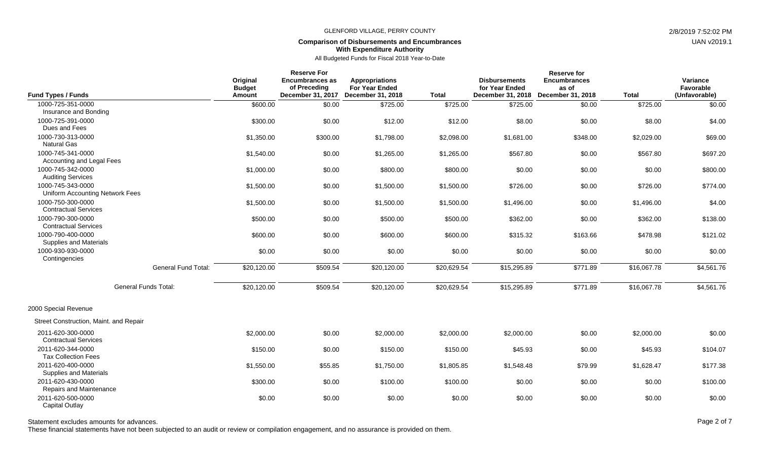# **Comparison of Disbursements and Encumbrances With Expenditure Authority**

All Budgeted Funds for Fiscal 2018 Year-to-Date

| <b>Fund Types / Funds</b>                            |                             | Original<br><b>Budget</b><br>Amount | <b>Reserve For</b><br><b>Encumbrances as</b><br>of Preceding | <b>Appropriations</b><br><b>For Year Ended</b><br>December 31, 2017 December 31, 2018 | <b>Total</b> | <b>Disbursements</b><br>for Year Ended | <b>Reserve for</b><br><b>Encumbrances</b><br>as of<br>December 31, 2018 December 31, 2018 | <b>Total</b> | Variance<br>Favorable<br>(Unfavorable) |
|------------------------------------------------------|-----------------------------|-------------------------------------|--------------------------------------------------------------|---------------------------------------------------------------------------------------|--------------|----------------------------------------|-------------------------------------------------------------------------------------------|--------------|----------------------------------------|
| 1000-725-351-0000                                    |                             | \$600.00                            | \$0.00                                                       | \$725.00                                                                              | \$725.00     | \$725.00                               | \$0.00                                                                                    | \$725.00     | \$0.00                                 |
| Insurance and Bonding                                |                             |                                     |                                                              |                                                                                       |              |                                        |                                                                                           |              |                                        |
| 1000-725-391-0000<br>Dues and Fees                   |                             | \$300.00                            | \$0.00                                                       | \$12.00                                                                               | \$12.00      | \$8.00                                 | \$0.00                                                                                    | \$8.00       | \$4.00                                 |
| 1000-730-313-0000<br><b>Natural Gas</b>              |                             | \$1,350.00                          | \$300.00                                                     | \$1,798.00                                                                            | \$2,098.00   | \$1,681.00                             | \$348.00                                                                                  | \$2,029.00   | \$69.00                                |
| 1000-745-341-0000<br>Accounting and Legal Fees       |                             | \$1,540.00                          | \$0.00                                                       | \$1,265.00                                                                            | \$1,265.00   | \$567.80                               | \$0.00                                                                                    | \$567.80     | \$697.20                               |
| 1000-745-342-0000<br><b>Auditing Services</b>        |                             | \$1,000.00                          | \$0.00                                                       | \$800.00                                                                              | \$800.00     | \$0.00                                 | \$0.00                                                                                    | \$0.00       | \$800.00                               |
| 1000-745-343-0000<br>Uniform Accounting Network Fees |                             | \$1,500.00                          | \$0.00                                                       | \$1,500.00                                                                            | \$1,500.00   | \$726.00                               | \$0.00                                                                                    | \$726.00     | \$774.00                               |
| 1000-750-300-0000<br><b>Contractual Services</b>     |                             | \$1,500.00                          | \$0.00                                                       | \$1,500.00                                                                            | \$1,500.00   | \$1,496.00                             | \$0.00                                                                                    | \$1,496.00   | \$4.00                                 |
| 1000-790-300-0000<br><b>Contractual Services</b>     |                             | \$500.00                            | \$0.00                                                       | \$500.00                                                                              | \$500.00     | \$362.00                               | \$0.00                                                                                    | \$362.00     | \$138.00                               |
| 1000-790-400-0000<br>Supplies and Materials          |                             | \$600.00                            | \$0.00                                                       | \$600.00                                                                              | \$600.00     | \$315.32                               | \$163.66                                                                                  | \$478.98     | \$121.02                               |
| 1000-930-930-0000<br>Contingencies                   |                             | \$0.00                              | \$0.00                                                       | \$0.00                                                                                | \$0.00       | \$0.00                                 | \$0.00                                                                                    | \$0.00       | \$0.00                                 |
|                                                      | <b>General Fund Total:</b>  | \$20,120.00                         | \$509.54                                                     | \$20,120.00                                                                           | \$20,629.54  | \$15,295.89                            | \$771.89                                                                                  | \$16,067.78  | \$4,561.76                             |
|                                                      | <b>General Funds Total:</b> | \$20,120.00                         | \$509.54                                                     | \$20,120.00                                                                           | \$20,629.54  | \$15,295.89                            | \$771.89                                                                                  | \$16,067.78  | \$4,561.76                             |
| 2000 Special Revenue                                 |                             |                                     |                                                              |                                                                                       |              |                                        |                                                                                           |              |                                        |
| Street Construction, Maint. and Repair               |                             |                                     |                                                              |                                                                                       |              |                                        |                                                                                           |              |                                        |
| 2011-620-300-0000<br><b>Contractual Services</b>     |                             | \$2,000.00                          | \$0.00                                                       | \$2,000.00                                                                            | \$2,000.00   | \$2,000.00                             | \$0.00                                                                                    | \$2,000.00   | \$0.00                                 |
| 2011-620-344-0000<br><b>Tax Collection Fees</b>      |                             | \$150.00                            | \$0.00                                                       | \$150.00                                                                              | \$150.00     | \$45.93                                | \$0.00                                                                                    | \$45.93      | \$104.07                               |
| 2011-620-400-0000<br><b>Supplies and Materials</b>   |                             | \$1,550.00                          | \$55.85                                                      | \$1,750.00                                                                            | \$1,805.85   | \$1,548.48                             | \$79.99                                                                                   | \$1,628.47   | \$177.38                               |
| 2011-620-430-0000<br>Repairs and Maintenance         |                             | \$300.00                            | \$0.00                                                       | \$100.00                                                                              | \$100.00     | \$0.00                                 | \$0.00                                                                                    | \$0.00       | \$100.00                               |
| 2011-620-500-0000<br><b>Capital Outlay</b>           |                             | \$0.00                              | \$0.00                                                       | \$0.00                                                                                | \$0.00       | \$0.00                                 | \$0.00                                                                                    | \$0.00       | \$0.00                                 |

Statement excludes amounts for advances. The statement excludes amounts for advances. Page 2 of 7

These financial statements have not been subjected to an audit or review or compilation engagement, and no assurance is provided on them.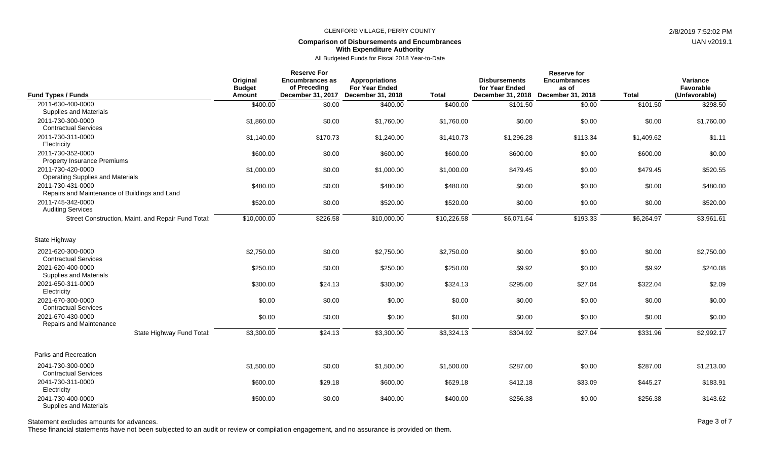### **Comparison of Disbursements and Encumbrances With Expenditure Authority**

All Budgeted Funds for Fiscal 2018 Year-to-Date

|                                                                    | <b>Reserve For</b>                  |                                                             |                                                                     |              | <b>Reserve for</b>                                          |                                                   |              |                                        |  |  |
|--------------------------------------------------------------------|-------------------------------------|-------------------------------------------------------------|---------------------------------------------------------------------|--------------|-------------------------------------------------------------|---------------------------------------------------|--------------|----------------------------------------|--|--|
| <b>Fund Types / Funds</b>                                          | Original<br><b>Budget</b><br>Amount | <b>Encumbrances as</b><br>of Preceding<br>December 31, 2017 | <b>Appropriations</b><br><b>For Year Ended</b><br>December 31, 2018 | <b>Total</b> | <b>Disbursements</b><br>for Year Ended<br>December 31, 2018 | <b>Encumbrances</b><br>as of<br>December 31, 2018 | <b>Total</b> | Variance<br>Favorable<br>(Unfavorable) |  |  |
| 2011-630-400-0000                                                  | \$400.00                            | \$0.00                                                      | \$400.00                                                            | \$400.00     | \$101.50                                                    | \$0.00                                            | \$101.50     | \$298.50                               |  |  |
| Supplies and Materials                                             |                                     |                                                             |                                                                     |              |                                                             |                                                   |              |                                        |  |  |
| 2011-730-300-0000<br><b>Contractual Services</b>                   | \$1,860.00                          | \$0.00                                                      | \$1,760.00                                                          | \$1,760.00   | \$0.00                                                      | \$0.00                                            | \$0.00       | \$1,760.00                             |  |  |
| 2011-730-311-0000<br>Electricity                                   | \$1,140.00                          | \$170.73                                                    | \$1,240.00                                                          | \$1,410.73   | \$1,296.28                                                  | \$113.34                                          | \$1,409.62   | \$1.11                                 |  |  |
| 2011-730-352-0000<br><b>Property Insurance Premiums</b>            | \$600.00                            | \$0.00                                                      | \$600.00                                                            | \$600.00     | \$600.00                                                    | \$0.00                                            | \$600.00     | \$0.00                                 |  |  |
| 2011-730-420-0000<br><b>Operating Supplies and Materials</b>       | \$1,000.00                          | \$0.00                                                      | \$1,000.00                                                          | \$1,000.00   | \$479.45                                                    | \$0.00                                            | \$479.45     | \$520.55                               |  |  |
| 2011-730-431-0000<br>Repairs and Maintenance of Buildings and Land | \$480.00                            | \$0.00                                                      | \$480.00                                                            | \$480.00     | \$0.00                                                      | \$0.00                                            | \$0.00       | \$480.00                               |  |  |
| 2011-745-342-0000<br><b>Auditing Services</b>                      | \$520.00                            | \$0.00                                                      | \$520.00                                                            | \$520.00     | \$0.00                                                      | \$0.00                                            | \$0.00       | \$520.00                               |  |  |
| Street Construction, Maint. and Repair Fund Total:                 | \$10,000.00                         | \$226.58                                                    | \$10,000.00                                                         | \$10,226.58  | \$6,071.64                                                  | \$193.33                                          | \$6,264.97   | \$3,961.61                             |  |  |
| State Highway                                                      |                                     |                                                             |                                                                     |              |                                                             |                                                   |              |                                        |  |  |
| 2021-620-300-0000<br><b>Contractual Services</b>                   | \$2,750.00                          | \$0.00                                                      | \$2,750.00                                                          | \$2,750.00   | \$0.00                                                      | \$0.00                                            | \$0.00       | \$2,750.00                             |  |  |
| 2021-620-400-0000<br>Supplies and Materials                        | \$250.00                            | \$0.00                                                      | \$250.00                                                            | \$250.00     | \$9.92                                                      | \$0.00                                            | \$9.92       | \$240.08                               |  |  |
| 2021-650-311-0000<br>Electricity                                   | \$300.00                            | \$24.13                                                     | \$300.00                                                            | \$324.13     | \$295.00                                                    | \$27.04                                           | \$322.04     | \$2.09                                 |  |  |
| 2021-670-300-0000<br><b>Contractual Services</b>                   | \$0.00                              | \$0.00                                                      | \$0.00                                                              | \$0.00       | \$0.00                                                      | \$0.00                                            | \$0.00       | \$0.00                                 |  |  |
| 2021-670-430-0000<br>Repairs and Maintenance                       | \$0.00                              | \$0.00                                                      | \$0.00                                                              | \$0.00       | \$0.00                                                      | \$0.00                                            | \$0.00       | \$0.00                                 |  |  |
| State Highway Fund Total:                                          | \$3,300.00                          | \$24.13                                                     | \$3,300.00                                                          | \$3,324.13   | \$304.92                                                    | \$27.04                                           | \$331.96     | \$2,992.17                             |  |  |
| Parks and Recreation                                               |                                     |                                                             |                                                                     |              |                                                             |                                                   |              |                                        |  |  |
| 2041-730-300-0000<br><b>Contractual Services</b>                   | \$1,500.00                          | \$0.00                                                      | \$1,500.00                                                          | \$1,500.00   | \$287.00                                                    | \$0.00                                            | \$287.00     | \$1,213.00                             |  |  |
| 2041-730-311-0000<br>Electricity                                   | \$600.00                            | \$29.18                                                     | \$600.00                                                            | \$629.18     | \$412.18                                                    | \$33.09                                           | \$445.27     | \$183.91                               |  |  |
| 2041-730-400-0000<br>Supplies and Materials                        | \$500.00                            | \$0.00                                                      | \$400.00                                                            | \$400.00     | \$256.38                                                    | \$0.00                                            | \$256.38     | \$143.62                               |  |  |

Statement excludes amounts for advances. The state of 7 and 200 and 200 and 200 and 200 and 200 and 200 and 200 and 200 and 200 and 200 and 200 and 200 and 200 and 200 and 200 and 200 and 200 and 200 and 200 and 200 and 20

These financial statements have not been subjected to an audit or review or compilation engagement, and no assurance is provided on them.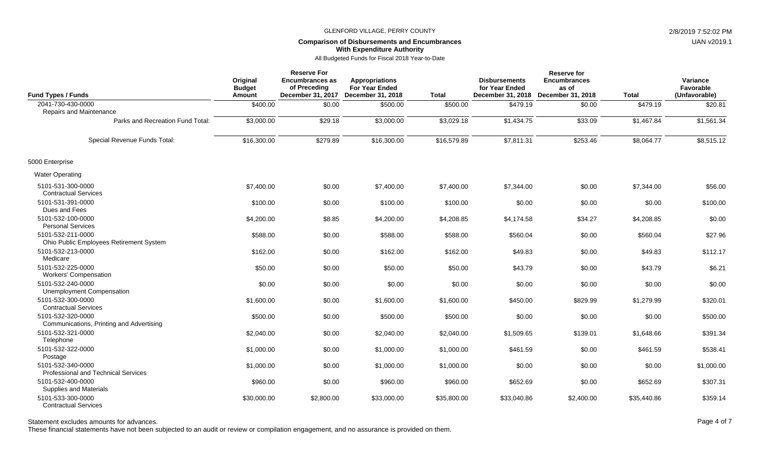### **Comparison of Disbursements and Encumbrances With Expenditure Authority**

All Budgeted Funds for Fiscal 2018 Year-to-Date

| <b>Fund Types / Funds</b>                                       | Original<br><b>Budget</b><br><b>Amount</b> | <b>Reserve For</b><br><b>Encumbrances as</b><br>of Preceding<br>December 31, 2017 | <b>Appropriations</b><br><b>For Year Ended</b><br>December 31, 2018 | <b>Total</b> | <b>Disbursements</b><br>for Year Ended<br>December 31, 2018 | <b>Reserve for</b><br><b>Encumbrances</b><br>as of<br>December 31, 2018 | <b>Total</b> | Variance<br>Favorable<br>(Unfavorable) |
|-----------------------------------------------------------------|--------------------------------------------|-----------------------------------------------------------------------------------|---------------------------------------------------------------------|--------------|-------------------------------------------------------------|-------------------------------------------------------------------------|--------------|----------------------------------------|
| 2041-730-430-0000<br><b>Repairs and Maintenance</b>             | \$400.00                                   | \$0.00                                                                            | \$500.00                                                            | \$500.00     | \$479.19                                                    | \$0.00                                                                  | \$479.19     | \$20.81                                |
| Parks and Recreation Fund Total:                                | \$3,000.00                                 | \$29.18                                                                           | \$3,000.00                                                          | \$3,029.18   | \$1,434.75                                                  | \$33.09                                                                 | \$1,467.84   | \$1,561.34                             |
| Special Revenue Funds Total:                                    | \$16,300.00                                | \$279.89                                                                          | \$16,300.00                                                         | \$16,579.89  | \$7,811.31                                                  | \$253.46                                                                | \$8,064.77   | \$8,515.12                             |
| 5000 Enterprise                                                 |                                            |                                                                                   |                                                                     |              |                                                             |                                                                         |              |                                        |
| <b>Water Operating</b>                                          |                                            |                                                                                   |                                                                     |              |                                                             |                                                                         |              |                                        |
| 5101-531-300-0000<br><b>Contractual Services</b>                | \$7,400.00                                 | \$0.00                                                                            | \$7,400.00                                                          | \$7,400.00   | \$7,344.00                                                  | \$0.00                                                                  | \$7.344.00   | \$56.00                                |
| 5101-531-391-0000<br>Dues and Fees                              | \$100.00                                   | \$0.00                                                                            | \$100.00                                                            | \$100.00     | \$0.00                                                      | \$0.00                                                                  | \$0.00       | \$100.00                               |
| 5101-532-100-0000<br><b>Personal Services</b>                   | \$4,200.00                                 | \$8.85                                                                            | \$4,200.00                                                          | \$4,208.85   | \$4,174.58                                                  | \$34.27                                                                 | \$4,208.85   | \$0.00                                 |
| 5101-532-211-0000<br>Ohio Public Employees Retirement System    | \$588.00                                   | \$0.00                                                                            | \$588.00                                                            | \$588.00     | \$560.04                                                    | \$0.00                                                                  | \$560.04     | \$27.96                                |
| 5101-532-213-0000<br>Medicare                                   | \$162.00                                   | \$0.00                                                                            | \$162.00                                                            | \$162.00     | \$49.83                                                     | \$0.00                                                                  | \$49.83      | \$112.17                               |
| 5101-532-225-0000<br><b>Workers' Compensation</b>               | \$50.00                                    | \$0.00                                                                            | \$50.00                                                             | \$50.00      | \$43.79                                                     | \$0.00                                                                  | \$43.79      | \$6.21                                 |
| 5101-532-240-0000<br><b>Unemployment Compensation</b>           | \$0.00                                     | \$0.00                                                                            | \$0.00                                                              | \$0.00       | \$0.00                                                      | \$0.00                                                                  | \$0.00       | \$0.00                                 |
| 5101-532-300-0000<br><b>Contractual Services</b>                | \$1,600.00                                 | \$0.00                                                                            | \$1,600.00                                                          | \$1,600.00   | \$450.00                                                    | \$829.99                                                                | \$1,279.99   | \$320.01                               |
| 5101-532-320-0000<br>Communications, Printing and Advertising   | \$500.00                                   | \$0.00                                                                            | \$500.00                                                            | \$500.00     | \$0.00                                                      | \$0.00                                                                  | \$0.00       | \$500.00                               |
| 5101-532-321-0000<br>Telephone                                  | \$2,040.00                                 | \$0.00                                                                            | \$2,040.00                                                          | \$2,040.00   | \$1,509.65                                                  | \$139.01                                                                | \$1,648.66   | \$391.34                               |
| 5101-532-322-0000<br>Postage                                    | \$1,000.00                                 | \$0.00                                                                            | \$1,000.00                                                          | \$1,000.00   | \$461.59                                                    | \$0.00                                                                  | \$461.59     | \$538.41                               |
| 5101-532-340-0000<br><b>Professional and Technical Services</b> | \$1,000.00                                 | \$0.00                                                                            | \$1,000.00                                                          | \$1,000.00   | \$0.00                                                      | \$0.00                                                                  | \$0.00       | \$1,000.00                             |
| 5101-532-400-0000<br><b>Supplies and Materials</b>              | \$960.00                                   | \$0.00                                                                            | \$960.00                                                            | \$960.00     | \$652.69                                                    | \$0.00                                                                  | \$652.69     | \$307.31                               |
| 5101-533-300-0000<br><b>Contractual Services</b>                | \$30,000.00                                | \$2,800.00                                                                        | \$33,000.00                                                         | \$35,800.00  | \$33,040.86                                                 | \$2,400.00                                                              | \$35,440.86  | \$359.14                               |

## Statement excludes amounts for advances. The statement excludes amounts for advances. Page 4 of 7

These financial statements have not been subjected to an audit or review or compilation engagement, and no assurance is provided on them.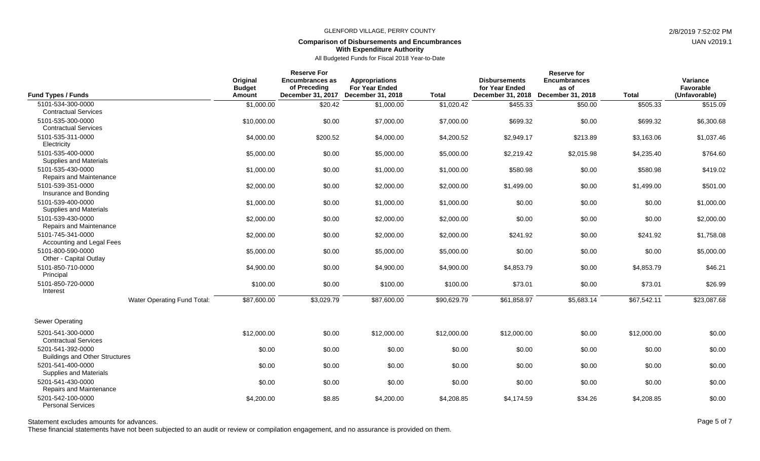# **Comparison of Disbursements and Encumbrances With Expenditure Authority**

All Budgeted Funds for Fiscal 2018 Year-to-Date

| <b>Fund Types / Funds</b>                                                       | Original<br><b>Budget</b><br>Amount | <b>Reserve For</b><br><b>Encumbrances as</b><br>of Preceding<br>December 31, 2017 | <b>Appropriations</b><br><b>For Year Ended</b><br>December 31, 2018 | <b>Total</b> | <b>Disbursements</b><br>for Year Ended<br>December 31, 2018 | <b>Reserve for</b><br><b>Encumbrances</b><br>as of<br>December 31, 2018 | <b>Total</b> | Variance<br>Favorable<br>(Unfavorable) |
|---------------------------------------------------------------------------------|-------------------------------------|-----------------------------------------------------------------------------------|---------------------------------------------------------------------|--------------|-------------------------------------------------------------|-------------------------------------------------------------------------|--------------|----------------------------------------|
| 5101-534-300-0000                                                               | \$1,000.00                          | \$20.42                                                                           | \$1,000.00                                                          | \$1,020.42   | \$455.33                                                    | \$50.00                                                                 | \$505.33     | \$515.09                               |
| <b>Contractual Services</b><br>5101-535-300-0000<br><b>Contractual Services</b> | \$10,000.00                         | \$0.00                                                                            | \$7,000.00                                                          | \$7,000.00   | \$699.32                                                    | \$0.00                                                                  | \$699.32     | \$6,300.68                             |
| 5101-535-311-0000<br>Electricity                                                | \$4,000.00                          | \$200.52                                                                          | \$4,000.00                                                          | \$4,200.52   | \$2,949.17                                                  | \$213.89                                                                | \$3,163.06   | \$1,037.46                             |
| 5101-535-400-0000<br>Supplies and Materials                                     | \$5,000.00                          | \$0.00                                                                            | \$5,000.00                                                          | \$5,000.00   | \$2,219.42                                                  | \$2,015.98                                                              | \$4,235.40   | \$764.60                               |
| 5101-535-430-0000<br>Repairs and Maintenance                                    | \$1,000.00                          | \$0.00                                                                            | \$1,000.00                                                          | \$1,000.00   | \$580.98                                                    | \$0.00                                                                  | \$580.98     | \$419.02                               |
| 5101-539-351-0000<br>Insurance and Bonding                                      | \$2,000.00                          | \$0.00                                                                            | \$2,000.00                                                          | \$2,000.00   | \$1,499.00                                                  | \$0.00                                                                  | \$1,499.00   | \$501.00                               |
| 5101-539-400-0000<br>Supplies and Materials                                     | \$1,000.00                          | \$0.00                                                                            | \$1,000.00                                                          | \$1,000.00   | \$0.00                                                      | \$0.00                                                                  | \$0.00       | \$1,000.00                             |
| 5101-539-430-0000<br>Repairs and Maintenance                                    | \$2,000.00                          | \$0.00                                                                            | \$2,000.00                                                          | \$2,000.00   | \$0.00                                                      | \$0.00                                                                  | \$0.00       | \$2,000.00                             |
| 5101-745-341-0000<br>Accounting and Legal Fees                                  | \$2,000.00                          | \$0.00                                                                            | \$2,000.00                                                          | \$2,000.00   | \$241.92                                                    | \$0.00                                                                  | \$241.92     | \$1,758.08                             |
| 5101-800-590-0000<br>Other - Capital Outlay                                     | \$5,000.00                          | \$0.00                                                                            | \$5,000.00                                                          | \$5,000.00   | \$0.00                                                      | \$0.00                                                                  | \$0.00       | \$5,000.00                             |
| 5101-850-710-0000<br>Principal                                                  | \$4,900.00                          | \$0.00                                                                            | \$4,900.00                                                          | \$4,900.00   | \$4.853.79                                                  | \$0.00                                                                  | \$4,853.79   | \$46.21                                |
| 5101-850-720-0000<br>Interest                                                   | \$100.00                            | \$0.00                                                                            | \$100.00                                                            | \$100.00     | \$73.01                                                     | \$0.00                                                                  | \$73.01      | \$26.99                                |
| Water Operating Fund Total:                                                     | \$87,600.00                         | \$3,029.79                                                                        | \$87,600.00                                                         | \$90,629.79  | \$61,858.97                                                 | \$5,683.14                                                              | \$67,542.11  | \$23,087.68                            |
| Sewer Operating                                                                 |                                     |                                                                                   |                                                                     |              |                                                             |                                                                         |              |                                        |
| 5201-541-300-0000<br><b>Contractual Services</b>                                | \$12,000.00                         | \$0.00                                                                            | \$12,000.00                                                         | \$12,000.00  | \$12,000.00                                                 | \$0.00                                                                  | \$12,000.00  | \$0.00                                 |
| 5201-541-392-0000<br><b>Buildings and Other Structures</b>                      | \$0.00                              | \$0.00                                                                            | \$0.00                                                              | \$0.00       | \$0.00                                                      | \$0.00                                                                  | \$0.00       | \$0.00                                 |
| 5201-541-400-0000<br>Supplies and Materials                                     | \$0.00                              | \$0.00                                                                            | \$0.00                                                              | \$0.00       | \$0.00                                                      | \$0.00                                                                  | \$0.00       | \$0.00                                 |
| 5201-541-430-0000<br>Repairs and Maintenance                                    | \$0.00                              | \$0.00                                                                            | \$0.00                                                              | \$0.00       | \$0.00                                                      | \$0.00                                                                  | \$0.00       | \$0.00                                 |
| 5201-542-100-0000<br><b>Personal Services</b>                                   | \$4,200.00                          | \$8.85                                                                            | \$4,200.00                                                          | \$4,208.85   | \$4,174.59                                                  | \$34.26                                                                 | \$4,208.85   | \$0.00                                 |

Statement excludes amounts for advances. The statement excludes amounts for advances. Page 5 of 7

These financial statements have not been subjected to an audit or review or compilation engagement, and no assurance is provided on them.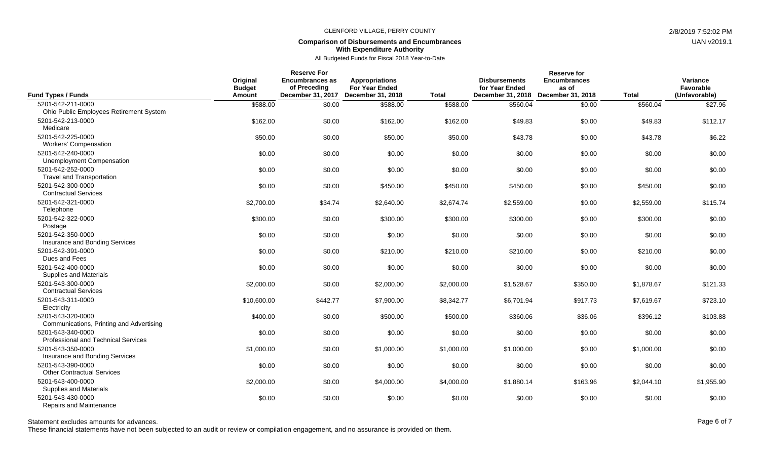# **Comparison of Disbursements and Encumbrances With Expenditure Authority**

All Budgeted Funds for Fiscal 2018 Year-to-Date

|                                                                 | <b>Reserve For</b><br>Original<br><b>Encumbrances as</b><br><b>Appropriations</b> |              |                                                              |              | <b>Disbursements</b>                | <b>Reserve for</b><br><b>Encumbrances</b> |              | Variance                   |  |
|-----------------------------------------------------------------|-----------------------------------------------------------------------------------|--------------|--------------------------------------------------------------|--------------|-------------------------------------|-------------------------------------------|--------------|----------------------------|--|
| <b>Fund Types / Funds</b>                                       | <b>Budget</b><br>Amount                                                           | of Preceding | <b>For Year Ended</b><br>December 31, 2017 December 31, 2018 | <b>Total</b> | for Year Ended<br>December 31, 2018 | as of<br>December 31, 2018                | <b>Total</b> | Favorable<br>(Unfavorable) |  |
| 5201-542-211-0000                                               | \$588.00                                                                          | \$0.00       | \$588.00                                                     | \$588.00     | \$560.04                            | \$0.00                                    | \$560.04     | \$27.96                    |  |
| Ohio Public Employees Retirement System                         |                                                                                   |              |                                                              |              |                                     |                                           |              |                            |  |
| 5201-542-213-0000<br>Medicare                                   | \$162.00                                                                          | \$0.00       | \$162.00                                                     | \$162.00     | \$49.83                             | \$0.00                                    | \$49.83      | \$112.17                   |  |
| 5201-542-225-0000<br><b>Workers' Compensation</b>               | \$50.00                                                                           | \$0.00       | \$50.00                                                      | \$50.00      | \$43.78                             | \$0.00                                    | \$43.78      | \$6.22                     |  |
| 5201-542-240-0000<br><b>Unemployment Compensation</b>           | \$0.00                                                                            | \$0.00       | \$0.00                                                       | \$0.00       | \$0.00                              | \$0.00                                    | \$0.00       | \$0.00                     |  |
| 5201-542-252-0000<br><b>Travel and Transportation</b>           | \$0.00                                                                            | \$0.00       | \$0.00                                                       | \$0.00       | \$0.00                              | \$0.00                                    | \$0.00       | \$0.00                     |  |
| 5201-542-300-0000<br><b>Contractual Services</b>                | \$0.00                                                                            | \$0.00       | \$450.00                                                     | \$450.00     | \$450.00                            | \$0.00                                    | \$450.00     | \$0.00                     |  |
| 5201-542-321-0000<br>Telephone                                  | \$2,700.00                                                                        | \$34.74      | \$2,640.00                                                   | \$2,674.74   | \$2,559.00                          | \$0.00                                    | \$2,559.00   | \$115.74                   |  |
| 5201-542-322-0000<br>Postage                                    | \$300.00                                                                          | \$0.00       | \$300.00                                                     | \$300.00     | \$300.00                            | \$0.00                                    | \$300.00     | \$0.00                     |  |
| 5201-542-350-0000<br>Insurance and Bonding Services             | \$0.00                                                                            | \$0.00       | \$0.00                                                       | \$0.00       | \$0.00                              | \$0.00                                    | \$0.00       | \$0.00                     |  |
| 5201-542-391-0000<br>Dues and Fees                              | \$0.00                                                                            | \$0.00       | \$210.00                                                     | \$210.00     | \$210.00                            | \$0.00                                    | \$210.00     | \$0.00                     |  |
| 5201-542-400-0000<br>Supplies and Materials                     | \$0.00                                                                            | \$0.00       | \$0.00                                                       | \$0.00       | \$0.00                              | \$0.00                                    | \$0.00       | \$0.00                     |  |
| 5201-543-300-0000<br><b>Contractual Services</b>                | \$2,000.00                                                                        | \$0.00       | \$2,000.00                                                   | \$2,000.00   | \$1,528.67                          | \$350.00                                  | \$1,878.67   | \$121.33                   |  |
| 5201-543-311-0000<br>Electricity                                | \$10,600.00                                                                       | \$442.77     | \$7,900.00                                                   | \$8,342.77   | \$6,701.94                          | \$917.73                                  | \$7,619.67   | \$723.10                   |  |
| 5201-543-320-0000<br>Communications, Printing and Advertising   | \$400.00                                                                          | \$0.00       | \$500.00                                                     | \$500.00     | \$360.06                            | \$36.06                                   | \$396.12     | \$103.88                   |  |
| 5201-543-340-0000<br><b>Professional and Technical Services</b> | \$0.00                                                                            | \$0.00       | \$0.00                                                       | \$0.00       | \$0.00                              | \$0.00                                    | \$0.00       | \$0.00                     |  |
| 5201-543-350-0000<br>Insurance and Bonding Services             | \$1,000.00                                                                        | \$0.00       | \$1,000.00                                                   | \$1,000.00   | \$1,000.00                          | \$0.00                                    | \$1,000.00   | \$0.00                     |  |
| 5201-543-390-0000<br><b>Other Contractual Services</b>          | \$0.00                                                                            | \$0.00       | \$0.00                                                       | \$0.00       | \$0.00                              | \$0.00                                    | \$0.00       | \$0.00                     |  |
| 5201-543-400-0000<br><b>Supplies and Materials</b>              | \$2,000.00                                                                        | \$0.00       | \$4,000.00                                                   | \$4,000.00   | \$1,880.14                          | \$163.96                                  | \$2,044.10   | \$1,955.90                 |  |
| 5201-543-430-0000<br>Repairs and Maintenance                    | \$0.00                                                                            | \$0.00       | \$0.00                                                       | \$0.00       | \$0.00                              | \$0.00                                    | \$0.00       | \$0.00                     |  |

Statement excludes amounts for advances. The statement excludes amounts for advances. Page 6 of 7

These financial statements have not been subjected to an audit or review or compilation engagement, and no assurance is provided on them.